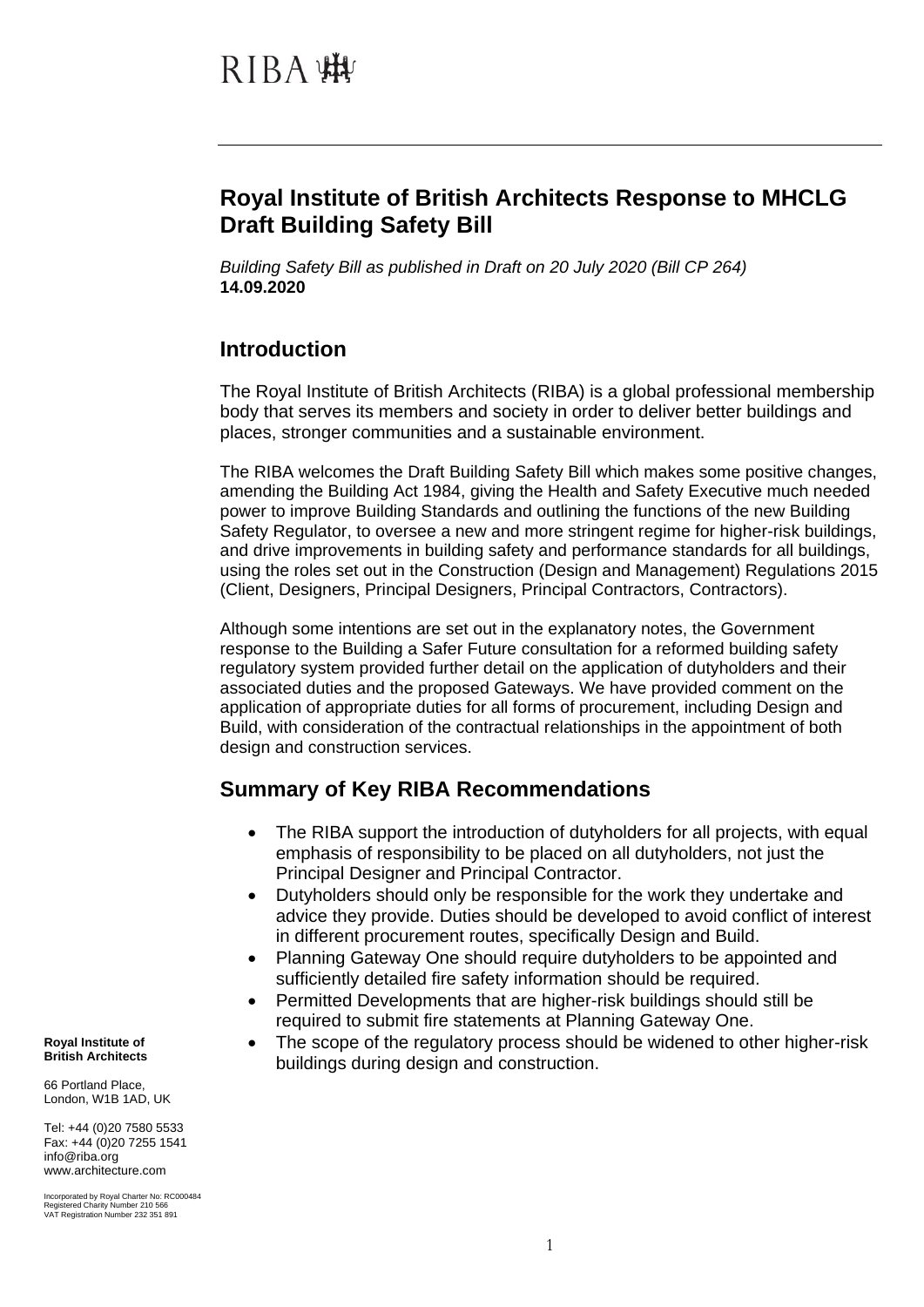## **Royal Institute of British Architects Response to MHCLG Draft Building Safety Bill**

*Building Safety Bill as published in Draft on 20 July 2020 (Bill CP 264)* **14.09.2020**

### **Introduction**

The Royal Institute of British Architects (RIBA) is a global professional membership body that serves its members and society in order to deliver better buildings and places, stronger communities and a sustainable environment.

The RIBA welcomes the Draft Building Safety Bill which makes some positive changes, amending the Building Act 1984, giving the Health and Safety Executive much needed power to improve Building Standards and outlining the functions of the new Building Safety Regulator, to oversee a new and more stringent regime for higher-risk buildings, and drive improvements in building safety and performance standards for all buildings, using the roles set out in the Construction (Design and Management) Regulations 2015 (Client, Designers, Principal Designers, Principal Contractors, Contractors).

Although some intentions are set out in the explanatory notes, the Government response to the Building a Safer Future consultation for a reformed building safety regulatory system provided further detail on the application of dutyholders and their associated duties and the proposed Gateways. We have provided comment on the application of appropriate duties for all forms of procurement, including Design and Build, with consideration of the contractual relationships in the appointment of both design and construction services.

### **Summary of Key RIBA Recommendations**

- The RIBA support the introduction of dutyholders for all projects, with equal emphasis of responsibility to be placed on all dutyholders, not just the Principal Designer and Principal Contractor.
- Dutyholders should only be responsible for the work they undertake and advice they provide. Duties should be developed to avoid conflict of interest in different procurement routes, specifically Design and Build.
- Planning Gateway One should require dutyholders to be appointed and sufficiently detailed fire safety information should be required.
- Permitted Developments that are higher-risk buildings should still be required to submit fire statements at Planning Gateway One.
- The scope of the regulatory process should be widened to other higher-risk buildings during design and construction.

**Royal Institute of British Architects**

66 Portland Place, London, W1B 1AD, UK

Tel: +44 (0)20 7580 5533 Fax: +44 (0)20 7255 1541 info@riba.org www.architecture.com

Incorporated by Royal Charter No: RC000484 Registered Charity Number 210 566 VAT Registration Number 232 351 891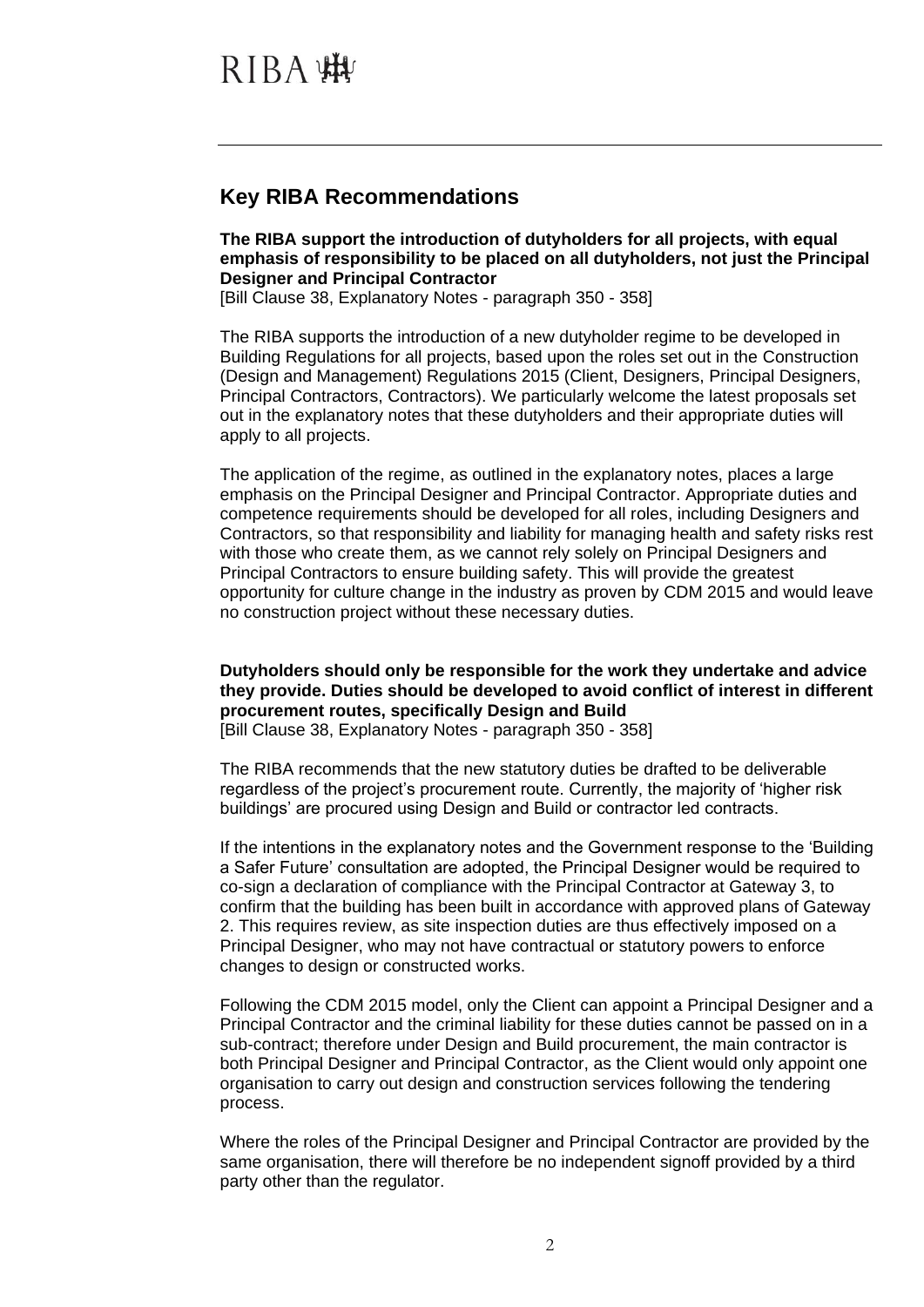### **Key RIBA Recommendations**

**The RIBA support the introduction of dutyholders for all projects, with equal emphasis of responsibility to be placed on all dutyholders, not just the Principal Designer and Principal Contractor**

[Bill Clause 38, Explanatory Notes - paragraph 350 - 358]

The RIBA supports the introduction of a new dutyholder regime to be developed in Building Regulations for all projects, based upon the roles set out in the Construction (Design and Management) Regulations 2015 (Client, Designers, Principal Designers, Principal Contractors, Contractors). We particularly welcome the latest proposals set out in the explanatory notes that these dutyholders and their appropriate duties will apply to all projects.

The application of the regime, as outlined in the explanatory notes, places a large emphasis on the Principal Designer and Principal Contractor. Appropriate duties and competence requirements should be developed for all roles, including Designers and Contractors, so that responsibility and liability for managing health and safety risks rest with those who create them, as we cannot rely solely on Principal Designers and Principal Contractors to ensure building safety. This will provide the greatest opportunity for culture change in the industry as proven by CDM 2015 and would leave no construction project without these necessary duties.

**Dutyholders should only be responsible for the work they undertake and advice they provide. Duties should be developed to avoid conflict of interest in different procurement routes, specifically Design and Build**

[Bill Clause 38, Explanatory Notes - paragraph 350 - 358]

The RIBA recommends that the new statutory duties be drafted to be deliverable regardless of the project's procurement route. Currently, the majority of 'higher risk buildings' are procured using Design and Build or contractor led contracts.

If the intentions in the explanatory notes and the Government response to the 'Building a Safer Future' consultation are adopted, the Principal Designer would be required to co-sign a declaration of compliance with the Principal Contractor at Gateway 3, to confirm that the building has been built in accordance with approved plans of Gateway 2. This requires review, as site inspection duties are thus effectively imposed on a Principal Designer, who may not have contractual or statutory powers to enforce changes to design or constructed works.

Following the CDM 2015 model, only the Client can appoint a Principal Designer and a Principal Contractor and the criminal liability for these duties cannot be passed on in a sub-contract; therefore under Design and Build procurement, the main contractor is both Principal Designer and Principal Contractor, as the Client would only appoint one organisation to carry out design and construction services following the tendering process.

Where the roles of the Principal Designer and Principal Contractor are provided by the same organisation, there will therefore be no independent signoff provided by a third party other than the regulator.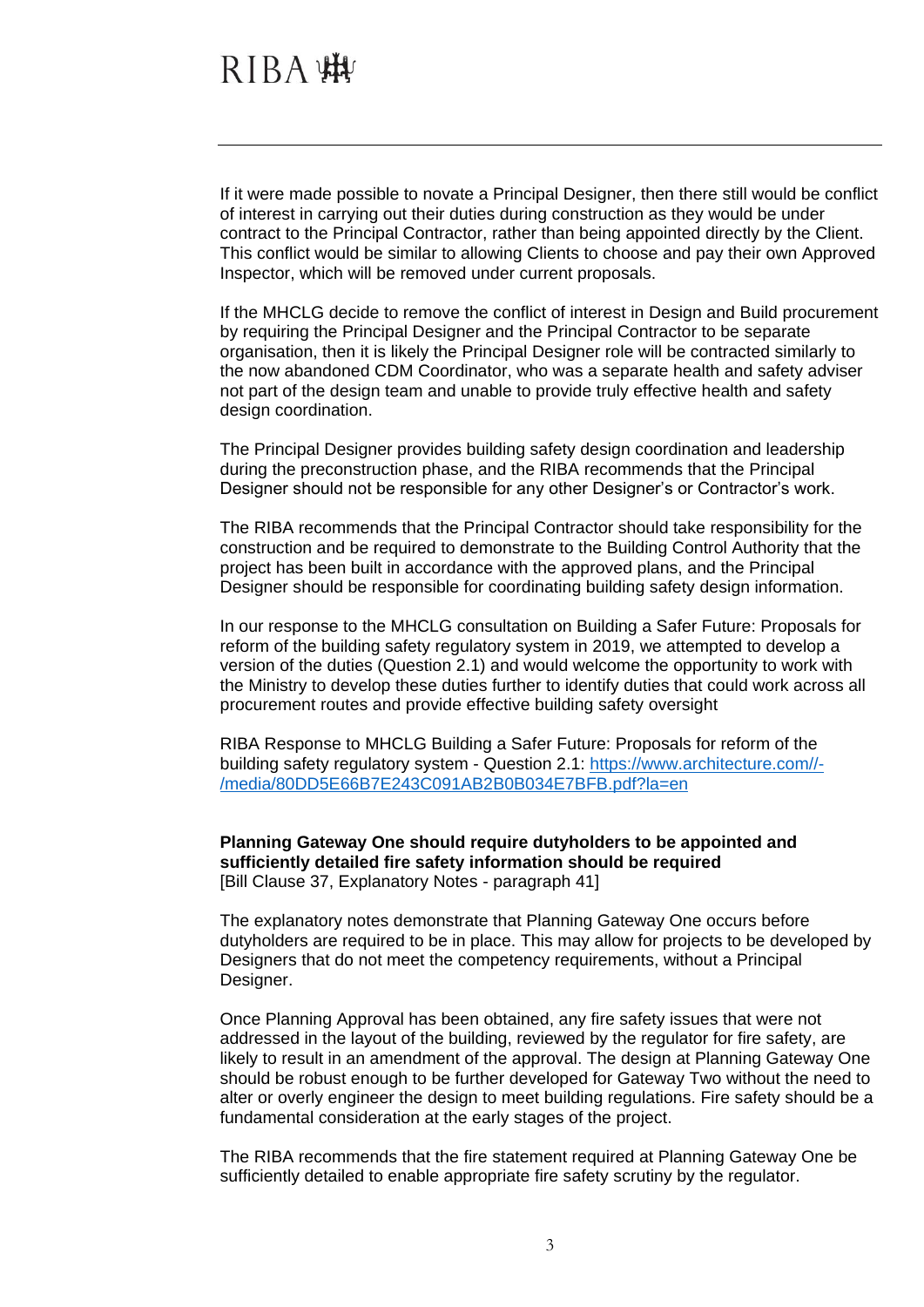If it were made possible to novate a Principal Designer, then there still would be conflict of interest in carrying out their duties during construction as they would be under contract to the Principal Contractor, rather than being appointed directly by the Client. This conflict would be similar to allowing Clients to choose and pay their own Approved Inspector, which will be removed under current proposals.

If the MHCLG decide to remove the conflict of interest in Design and Build procurement by requiring the Principal Designer and the Principal Contractor to be separate organisation, then it is likely the Principal Designer role will be contracted similarly to the now abandoned CDM Coordinator, who was a separate health and safety adviser not part of the design team and unable to provide truly effective health and safety design coordination.

The Principal Designer provides building safety design coordination and leadership during the preconstruction phase, and the RIBA recommends that the Principal Designer should not be responsible for any other Designer's or Contractor's work.

The RIBA recommends that the Principal Contractor should take responsibility for the construction and be required to demonstrate to the Building Control Authority that the project has been built in accordance with the approved plans, and the Principal Designer should be responsible for coordinating building safety design information.

In our response to the MHCLG consultation on Building a Safer Future: Proposals for reform of the building safety regulatory system in 2019, we attempted to develop a version of the duties (Question 2.1) and would welcome the opportunity to work with the Ministry to develop these duties further to identify duties that could work across all procurement routes and provide effective building safety oversight

RIBA Response to MHCLG Building a Safer Future: Proposals for reform of the building safety regulatory system - Question 2.1: [https://www.architecture.com//-](https://www.architecture.com/-/media/80DD5E66B7E243C091AB2B0B034E7BFB.pdf?la=en) [/media/80DD5E66B7E243C091AB2B0B034E7BFB.pdf?la=en](https://www.architecture.com/-/media/80DD5E66B7E243C091AB2B0B034E7BFB.pdf?la=en)

#### **Planning Gateway One should require dutyholders to be appointed and sufficiently detailed fire safety information should be required** [Bill Clause 37, Explanatory Notes - paragraph 41]

The explanatory notes demonstrate that Planning Gateway One occurs before dutyholders are required to be in place. This may allow for projects to be developed by Designers that do not meet the competency requirements, without a Principal Designer.

Once Planning Approval has been obtained, any fire safety issues that were not addressed in the layout of the building, reviewed by the regulator for fire safety, are likely to result in an amendment of the approval. The design at Planning Gateway One should be robust enough to be further developed for Gateway Two without the need to alter or overly engineer the design to meet building regulations. Fire safety should be a fundamental consideration at the early stages of the project.

The RIBA recommends that the fire statement required at Planning Gateway One be sufficiently detailed to enable appropriate fire safety scrutiny by the regulator.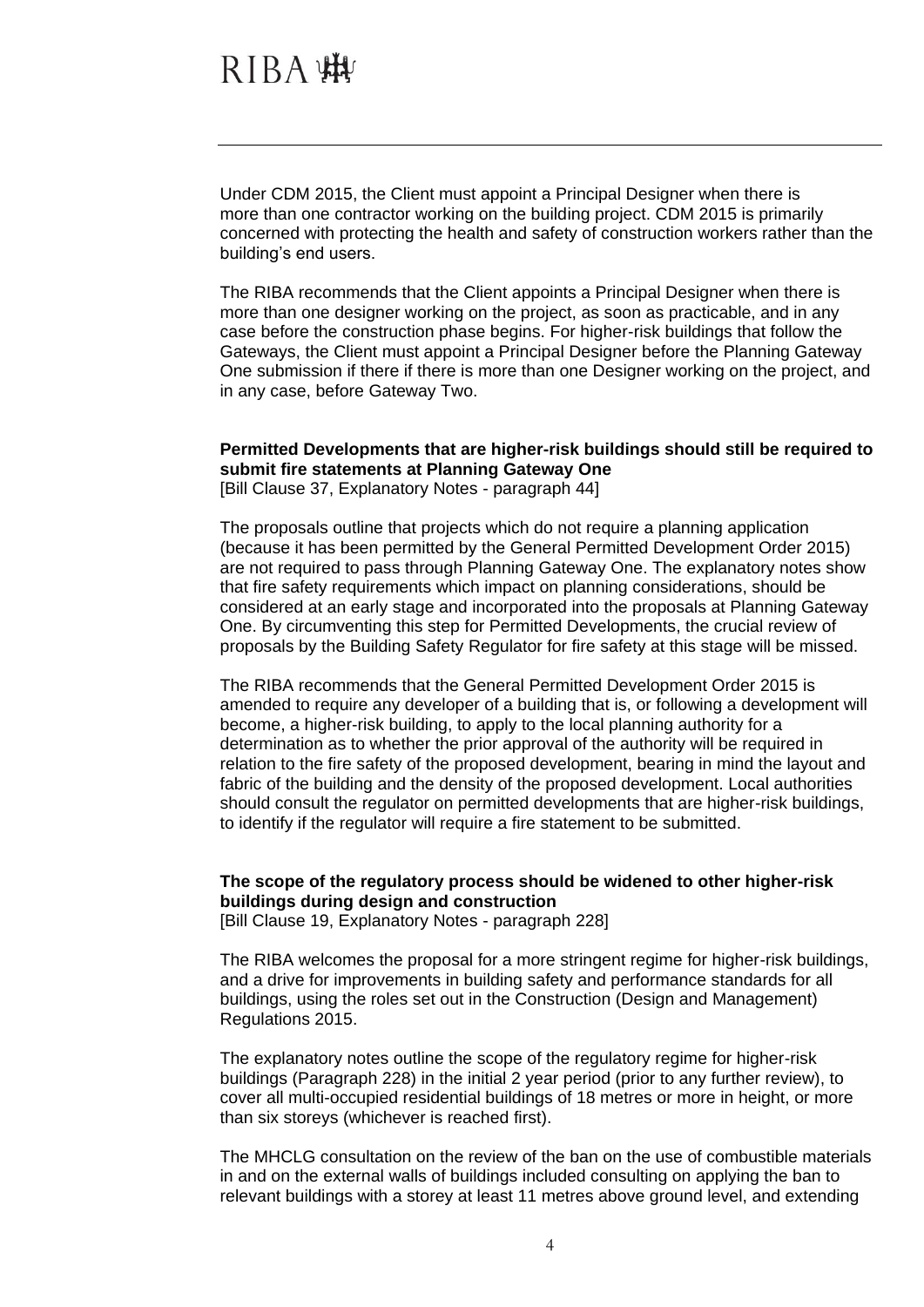Under CDM 2015, the Client must appoint a Principal Designer when there is more than one contractor working on the building project. CDM 2015 is primarily concerned with protecting the health and safety of construction workers rather than the building's end users.

The RIBA recommends that the Client appoints a Principal Designer when there is more than one designer working on the project, as soon as practicable, and in any case before the construction phase begins. For higher-risk buildings that follow the Gateways, the Client must appoint a Principal Designer before the Planning Gateway One submission if there if there is more than one Designer working on the project, and in any case, before Gateway Two.

### **Permitted Developments that are higher-risk buildings should still be required to submit fire statements at Planning Gateway One**

[Bill Clause 37, Explanatory Notes - paragraph 44]

The proposals outline that projects which do not require a planning application (because it has been permitted by the General Permitted Development Order 2015) are not required to pass through Planning Gateway One. The explanatory notes show that fire safety requirements which impact on planning considerations, should be considered at an early stage and incorporated into the proposals at Planning Gateway One. By circumventing this step for Permitted Developments, the crucial review of proposals by the Building Safety Regulator for fire safety at this stage will be missed.

The RIBA recommends that the General Permitted Development Order 2015 is amended to require any developer of a building that is, or following a development will become, a higher-risk building, to apply to the local planning authority for a determination as to whether the prior approval of the authority will be required in relation to the fire safety of the proposed development, bearing in mind the layout and fabric of the building and the density of the proposed development. Local authorities should consult the regulator on permitted developments that are higher-risk buildings, to identify if the regulator will require a fire statement to be submitted.

#### **The scope of the regulatory process should be widened to other higher-risk buildings during design and construction**

[Bill Clause 19, Explanatory Notes - paragraph 228]

The RIBA welcomes the proposal for a more stringent regime for higher-risk buildings, and a drive for improvements in building safety and performance standards for all buildings, using the roles set out in the Construction (Design and Management) Regulations 2015.

The explanatory notes outline the scope of the regulatory regime for higher-risk buildings (Paragraph 228) in the initial 2 year period (prior to any further review), to cover all multi-occupied residential buildings of 18 metres or more in height, or more than six storeys (whichever is reached first).

The MHCLG consultation on the review of the ban on the use of combustible materials in and on the external walls of buildings included consulting on applying the ban to relevant buildings with a storey at least 11 metres above ground level, and extending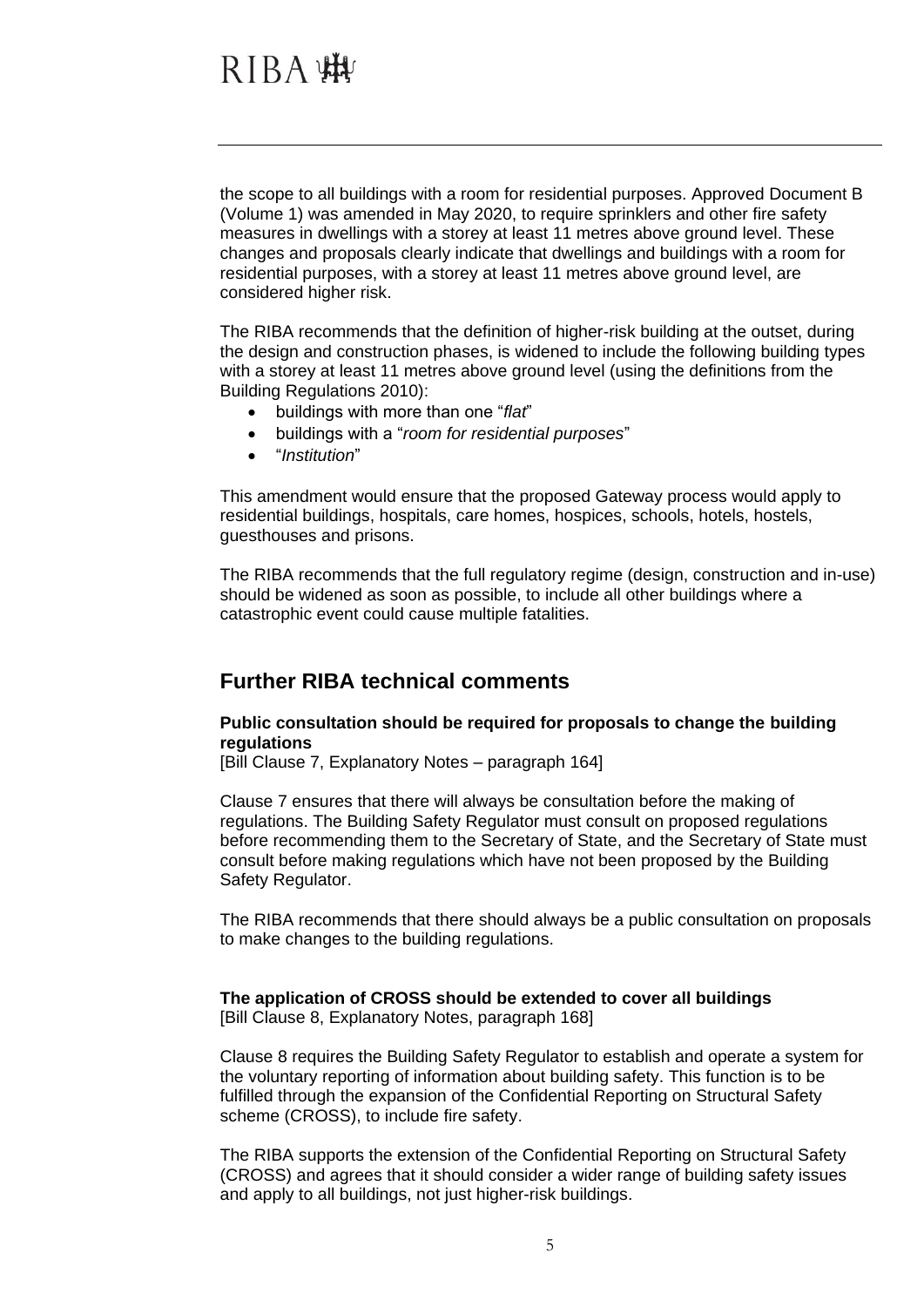the scope to all buildings with a room for residential purposes. Approved Document B (Volume 1) was amended in May 2020, to require sprinklers and other fire safety measures in dwellings with a storey at least 11 metres above ground level. These changes and proposals clearly indicate that dwellings and buildings with a room for residential purposes, with a storey at least 11 metres above ground level, are considered higher risk.

The RIBA recommends that the definition of higher-risk building at the outset, during the design and construction phases, is widened to include the following building types with a storey at least 11 metres above ground level (using the definitions from the Building Regulations 2010):

- buildings with more than one "*flat*"
- buildings with a "*room for residential purposes*"
- "*Institution*"

This amendment would ensure that the proposed Gateway process would apply to residential buildings, hospitals, care homes, hospices, schools, hotels, hostels, guesthouses and prisons.

The RIBA recommends that the full regulatory regime (design, construction and in-use) should be widened as soon as possible, to include all other buildings where a catastrophic event could cause multiple fatalities.

### **Further RIBA technical comments**

#### **Public consultation should be required for proposals to change the building regulations**

[Bill Clause 7, Explanatory Notes – paragraph 164]

Clause 7 ensures that there will always be consultation before the making of regulations. The Building Safety Regulator must consult on proposed regulations before recommending them to the Secretary of State, and the Secretary of State must consult before making regulations which have not been proposed by the Building Safety Regulator.

The RIBA recommends that there should always be a public consultation on proposals to make changes to the building regulations.

## **The application of CROSS should be extended to cover all buildings**

[Bill Clause 8, Explanatory Notes, paragraph 168]

Clause 8 requires the Building Safety Regulator to establish and operate a system for the voluntary reporting of information about building safety. This function is to be fulfilled through the expansion of the Confidential Reporting on Structural Safety scheme (CROSS), to include fire safety.

The RIBA supports the extension of the Confidential Reporting on Structural Safety (CROSS) and agrees that it should consider a wider range of building safety issues and apply to all buildings, not just higher-risk buildings.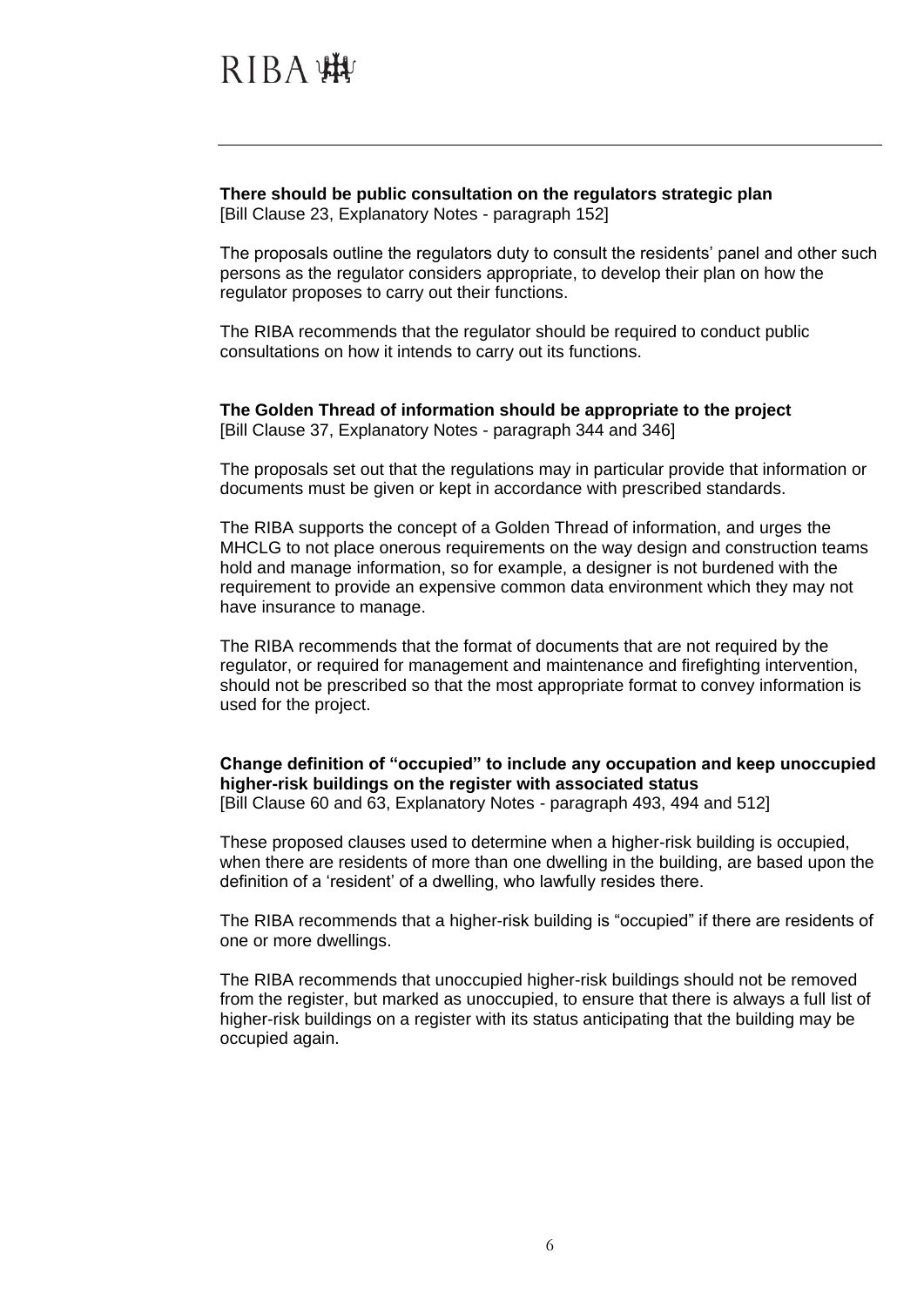**There should be public consultation on the regulators strategic plan** [Bill Clause 23, Explanatory Notes - paragraph 152]

The proposals outline the regulators duty to consult the residents' panel and other such persons as the regulator considers appropriate, to develop their plan on how the regulator proposes to carry out their functions.

The RIBA recommends that the regulator should be required to conduct public consultations on how it intends to carry out its functions.

**The Golden Thread of information should be appropriate to the project** [Bill Clause 37, Explanatory Notes - paragraph 344 and 346]

The proposals set out that the regulations may in particular provide that information or documents must be given or kept in accordance with prescribed standards.

The RIBA supports the concept of a Golden Thread of information, and urges the MHCLG to not place onerous requirements on the way design and construction teams hold and manage information, so for example, a designer is not burdened with the requirement to provide an expensive common data environment which they may not have insurance to manage.

The RIBA recommends that the format of documents that are not required by the regulator, or required for management and maintenance and firefighting intervention, should not be prescribed so that the most appropriate format to convey information is used for the project.

**Change definition of "occupied" to include any occupation and keep unoccupied higher-risk buildings on the register with associated status** [Bill Clause 60 and 63, Explanatory Notes - paragraph 493, 494 and 512]

These proposed clauses used to determine when a higher-risk building is occupied, when there are residents of more than one dwelling in the building, are based upon the definition of a 'resident' of a dwelling, who lawfully resides there.

The RIBA recommends that a higher-risk building is "occupied" if there are residents of one or more dwellings.

The RIBA recommends that unoccupied higher-risk buildings should not be removed from the register, but marked as unoccupied, to ensure that there is always a full list of higher-risk buildings on a register with its status anticipating that the building may be occupied again.